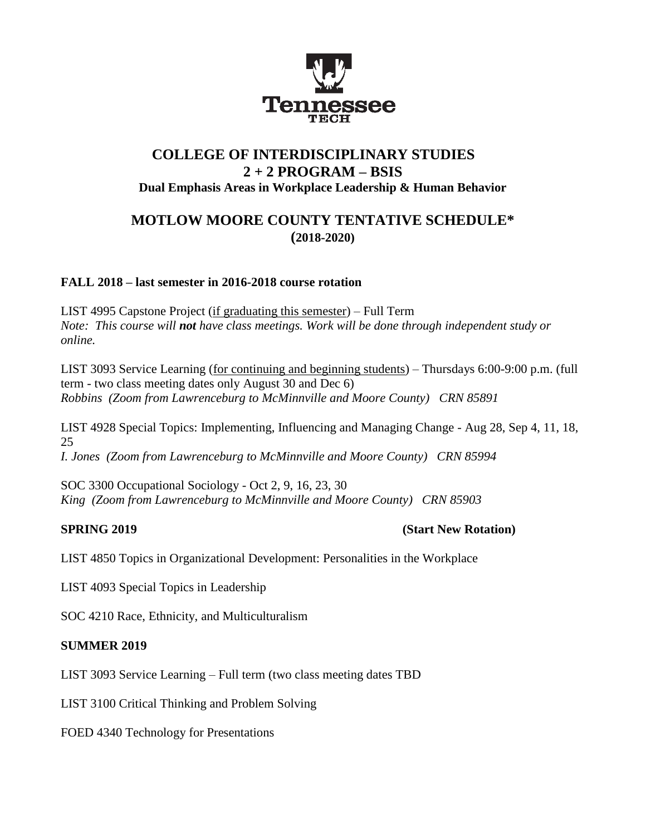

# **COLLEGE OF INTERDISCIPLINARY STUDIES 2 + 2 PROGRAM – BSIS Dual Emphasis Areas in Workplace Leadership & Human Behavior**

# **MOTLOW MOORE COUNTY TENTATIVE SCHEDULE\* (2018-2020)**

# **FALL 2018 – last semester in 2016-2018 course rotation**

LIST 4995 Capstone Project (if graduating this semester) – Full Term *Note: This course will not have class meetings. Work will be done through independent study or online.*

LIST 3093 Service Learning (for continuing and beginning students) – Thursdays 6:00-9:00 p.m. (full term - two class meeting dates only August 30 and Dec 6) *Robbins (Zoom from Lawrenceburg to McMinnville and Moore County) CRN 85891*

LIST 4928 Special Topics: Implementing, Influencing and Managing Change - Aug 28, Sep 4, 11, 18, 25 *I. Jones (Zoom from Lawrenceburg to McMinnville and Moore County) CRN 85994*

SOC 3300 Occupational Sociology - Oct 2, 9, 16, 23, 30 *King (Zoom from Lawrenceburg to McMinnville and Moore County) CRN 85903*

**SPRING 2019 (Start New Rotation)**

LIST 4850 Topics in Organizational Development: Personalities in the Workplace

LIST 4093 Special Topics in Leadership

SOC 4210 Race, Ethnicity, and Multiculturalism

#### **SUMMER 2019**

LIST 3093 Service Learning – Full term (two class meeting dates TBD

LIST 3100 Critical Thinking and Problem Solving

FOED 4340 Technology for Presentations